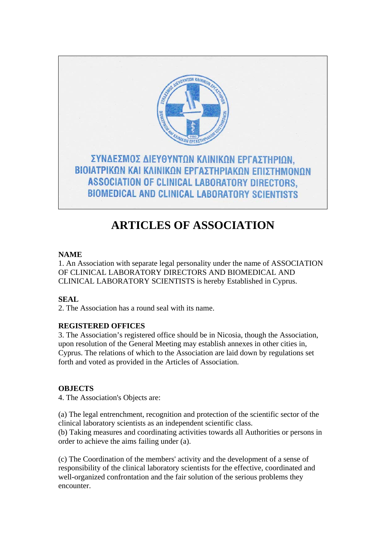

# **ARTICLES OF ASSOCIATION**

# **NAME**

1. An Association with separate legal personality under the name of ASSOCIATION OF CLINICAL LABORATORY DIRECTORS AND BIOMEDICAL AND CLINICAL LABORATORY SCIENTISTS is hereby Established in Cyprus.

# **SEAL**

2. The Association has a round seal with its name.

# **REGISTERED OFFICES**

3. The Association's registered office should be in Nicosia, though the Association, upon resolution of the General Meeting may establish annexes in other cities in, Cyprus. The relations of which to the Association are laid down by regulations set forth and voted as provided in the Articles of Association.

# **OBJECTS**

4. The Association's Objects are:

(a) The legal entrenchment, recognition and protection of the scientific sector of the clinical laboratory scientists as an independent scientific class.

(b) Taking measures and coordinating activities towards all Authorities or persons in order to achieve the aims failing under (a).

(c) The Coordination of the members' activity and the development of a sense of responsibility of the clinical laboratory scientists for the effective, coordinated and well-organized confrontation and the fair solution of the serious problems they encounter.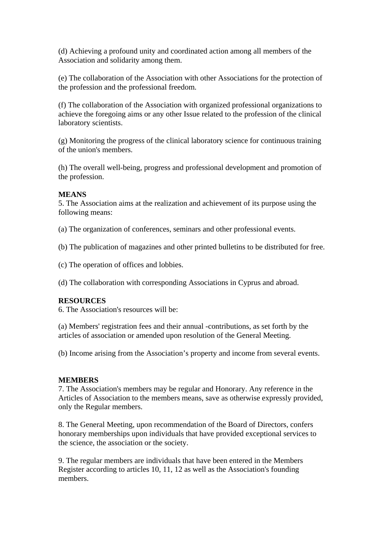(d) Achieving a profound unity and coordinated action among all members of the Association and solidarity among them.

(e) The collaboration of the Association with other Associations for the protection of the profession and the professional freedom.

(f) The collaboration of the Association with organized professional organizations to achieve the foregoing aims or any other Issue related to the profession of the clinical laboratory scientists.

(g) Monitoring the progress of the clinical laboratory science for continuous training of the union's members.

(h) The overall well-being, progress and professional development and promotion of the profession.

### **MEANS**

5. The Association aims at the realization and achievement of its purpose using the following means:

(a) The organization of conferences, seminars and other professional events.

(b) The publication of magazines and other printed bulletins to be distributed for free.

(c) The operation of offices and lobbies.

(d) The collaboration with corresponding Associations in Cyprus and abroad.

# **RESOURCES**

6. The Association's resources will be:

(a) Members' registration fees and their annual -contributions, as set forth by the articles of association or amended upon resolution of the General Meeting.

(b) Income arising from the Association's property and income from several events.

#### **MEMBERS**

7. The Association's members may be regular and Honorary. Any reference in the Articles of Association to the members means, save as otherwise expressly provided, only the Regular members.

8. The General Meeting, upon recommendation of the Board of Directors, confers honorary memberships upon individuals that have provided exceptional services to the science, the association or the society.

9. The regular members are individuals that have been entered in the Members Register according to articles 10, 11, 12 as well as the Association's founding members.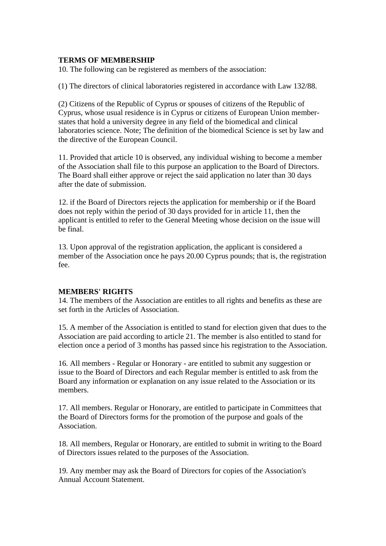#### **TERMS OF MEMBERSHIP**

10. The following can be registered as members of the association:

(1) The directors of clinical laboratories registered in accordance with Law 132/88.

(2) Citizens of the Republic of Cyprus or spouses of citizens of the Republic of Cyprus, whose usual residence is in Cyprus or citizens of European Union memberstates that hold a university degree in any field of the biomedical and clinical laboratories science. Note; The definition of the biomedical Science is set by law and the directive of the European Council.

11. Provided that article 10 is observed, any individual wishing to become a member of the Association shall file to this purpose an application to the Board of Directors. The Board shall either approve or reject the said application no later than 30 days after the date of submission.

12. if the Board of Directors rejects the application for membership or if the Board does not reply within the period of 30 days provided for in article 11, then the applicant is entitled to refer to the General Meeting whose decision on the issue will be final.

13. Upon approval of the registration application, the applicant is considered a member of the Association once he pays 20.00 Cyprus pounds; that is, the registration fee.

# **MEMBERS' RIGHTS**

14. The members of the Association are entitles to all rights and benefits as these are set forth in the Articles of Association.

15. A member of the Association is entitled to stand for election given that dues to the Association are paid according to article 21. The member is also entitled to stand for election once a period of 3 months has passed since his registration to the Association.

16. All members - Regular or Honorary - are entitled to submit any suggestion or issue to the Board of Directors and each Regular member is entitled to ask from the Board any information or explanation on any issue related to the Association or its members.

17. All members. Regular or Honorary, are entitled to participate in Committees that the Board of Directors forms for the promotion of the purpose and goals of the Association.

18. All members, Regular or Honorary, are entitled to submit in writing to the Board of Directors issues related to the purposes of the Association.

19. Any member may ask the Board of Directors for copies of the Association's Annual Account Statement.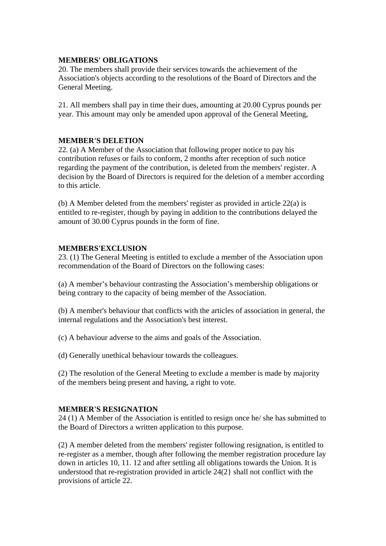#### **MEMBERS' OBLIGATIONS**

20. The members shall provide their services towards the achievement of the Association's objects according to the resolutions of the Board of Directors and the General Meeting.

21. All members shall pay in time their dues, amounting at 20.00 Cyprus pounds per year. This amount may only be amended upon approval of the General Meeting,

### **MEMBER'S DELETION**

22. (a) A Member of the Association that following proper notice to pay his contribution refuses or fails to conform, 2 months after reception of such notice regarding the payment of the contribution, is deleted from the members' register. A decision by the Board of Directors is required for the deletion of a member according to this article.

(b) A Member deleted from the members' register as provided in article  $22(a)$  is entitled to re-register, though by paying in addition to the contributions delayed the amount of 30.00 Cyprus pounds in the form of fine.

# **MEMBERS'EXCLUSION**

23. (1) The General Meeting is entitled to exclude a member of the Association upon recommendation of the Board of Directors on the following cases:

(a) A member's behaviour contrasting the Association's membership obligations or being contrary to the capacity of being member of the Association.

(b) A member's behaviour that conflicts with the articles of association in general, the internal regulations and the Association's best interest.

(c) A behaviour adverse to the aims and goals of the Association.

(d) Generally unethical behaviour towards the colleagues.

(2) The resolution of the General Meeting to exclude a member is made by majority of the members being present and having, a right to vote.

#### **MEMBER'S RESIGNATION**

24 (1) A Member of the Association is entitled to resign once he/ she has submitted to the Board of Directors a written application to this purpose.

(2) A member deleted from the members' register following resignation, is entitled to re-register as a member, though after following the member registration procedure lay down in articles 10, 11. 12 and after settling all obligations towards the Union. It is understood that re-registration provided in article 24(2} shall not conflict with the provisions of article 22.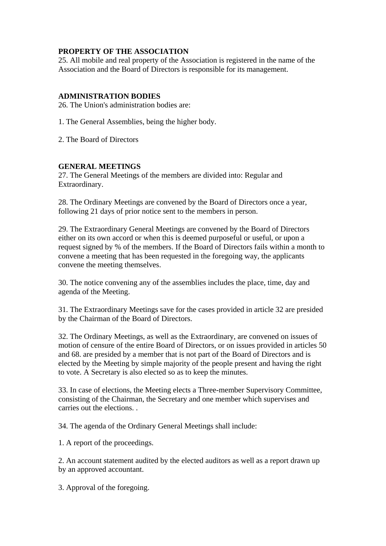# **PROPERTY OF THE ASSOCIATION**

25. All mobile and real property of the Association is registered in the name of the Association and the Board of Directors is responsible for its management.

#### **ADMINISTRATION BODIES**

26. The Union's administration bodies are:

1. The General Assemblies, being the higher body.

2. The Board of Directors

#### **GENERAL MEETINGS**

27. The General Meetings of the members are divided into: Regular and Extraordinary.

28. The Ordinary Meetings are convened by the Board of Directors once a year, following 21 days of prior notice sent to the members in person.

29. The Extraordinary General Meetings are convened by the Board of Directors either on its own accord or when this is deemed purposeful or useful, or upon a request signed by % of the members. If the Board of Directors fails within a month to convene a meeting that has been requested in the foregoing way, the applicants convene the meeting themselves.

30. The notice convening any of the assemblies includes the place, time, day and agenda of the Meeting.

31. The Extraordinary Meetings save for the cases provided in article 32 are presided by the Chairman of the Board of Directors.

32. The Ordinary Meetings, as well as the Extraordinary, are convened on issues of motion of censure of the entire Board of Directors, or on issues provided in articles 50 and 68. are presided by a member that is not part of the Board of Directors and is elected by the Meeting by simple majority of the people present and having the right to vote. A Secretary is also elected so as to keep the minutes.

33. In case of elections, the Meeting elects a Three-member Supervisory Committee, consisting of the Chairman, the Secretary and one member which supervises and carries out the elections. .

34. The agenda of the Ordinary General Meetings shall include:

1. A report of the proceedings.

2. An account statement audited by the elected auditors as well as a report drawn up by an approved accountant.

3. Approval of the foregoing.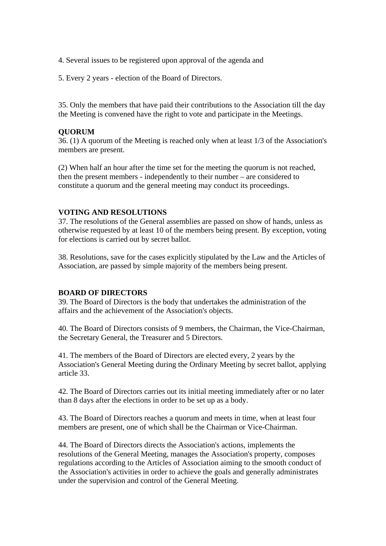4. Several issues to be registered upon approval of the agenda and

5. Every 2 years - election of the Board of Directors.

35. Only the members that have paid their contributions to the Association till the day the Meeting is convened have the right to vote and participate in the Meetings.

# **QUORUM**

36. (1) A quorum of the Meeting is reached only when at least 1/3 of the Association's members are present.

(2) When half an hour after the time set for the meeting the quorum is not reached, then the present members - independently to their number – are considered to constitute a quorum and the general meeting may conduct its proceedings.

### **VOTING AND RESOLUTIONS**

37. The resolutions of the General assemblies are passed on show of hands, unless as otherwise requested by at least 10 of the members being present. By exception, voting for elections is carried out by secret ballot.

38. Resolutions, save for the cases explicitly stipulated by the Law and the Articles of Association, are passed by simple majority of the members being present.

#### **BOARD OF DIRECTORS**

39. The Board of Directors is the body that undertakes the administration of the affairs and the achievement of the Association's objects.

40. The Board of Directors consists of 9 members, the Chairman, the Vice-Chairman, the Secretary General, the Treasurer and 5 Directors.

41. The members of the Board of Directors are elected every, 2 years by the Association's General Meeting during the Ordinary Meeting by secret ballot, applying article 33.

42. The Board of Directors carries out its initial meeting immediately after or no later than 8 days after the elections in order to be set up as a body.

43. The Board of Directors reaches a quorum and meets in time, when at least four members are present, one of which shall be the Chairman or Vice-Chairman.

44. The Board of Directors directs the Association's actions, implements the resolutions of the General Meeting, manages the Association's property, composes regulations according to the Articles of Association aiming to the smooth conduct of the Association's activities in order to achieve the goals and generally administrates under the supervision and control of the General Meeting.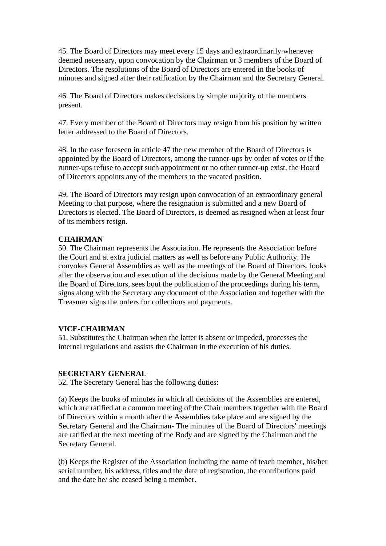45. The Board of Directors may meet every 15 days and extraordinarily whenever deemed necessary, upon convocation by the Chairman or 3 members of the Board of Directors. The resolutions of the Board of Directors are entered in the books of minutes and signed after their ratification by the Chairman and the Secretary General.

46. The Board of Directors makes decisions by simple majority of the members present.

47. Every member of the Board of Directors may resign from his position by written letter addressed to the Board of Directors.

48. In the case foreseen in article 47 the new member of the Board of Directors is appointed by the Board of Directors, among the runner-ups by order of votes or if the runner-ups refuse to accept such appointment or no other runner-up exist, the Board of Directors appoints any of the members to the vacated position.

49. The Board of Directors may resign upon convocation of an extraordinary general Meeting to that purpose, where the resignation is submitted and a new Board of Directors is elected. The Board of Directors, is deemed as resigned when at least four of its members resign.

# **CHAIRMAN**

50. The Chairman represents the Association. He represents the Association before the Court and at extra judicial matters as well as before any Public Authority. He convokes General Assemblies as well as the meetings of the Board of Directors, looks after the observation and execution of the decisions made by the General Meeting and the Board of Directors, sees bout the publication of the proceedings during his term, signs along with the Secretary any document of the Association and together with the Treasurer signs the orders for collections and payments.

# **VICE-CHAIRMAN**

51. Substitutes the Chairman when the latter is absent or impeded, processes the internal regulations and assists the Chairman in the execution of his duties.

#### **SECRETARY GENERAL**

52. The Secretary General has the following duties:

(a) Keeps the books of minutes in which all decisions of the Assemblies are entered, which are ratified at a common meeting of the Chair members together with the Board of Directors within a month after the Assemblies take place and are signed by the Secretary General and the Chairman- The minutes of the Board of Directors' meetings are ratified at the next meeting of the Body and are signed by the Chairman and the Secretary General.

(b) Keeps the Register of the Association including the name of teach member, his/her serial number, his address, titles and the date of registration, the contributions paid and the date he/ she ceased being a member.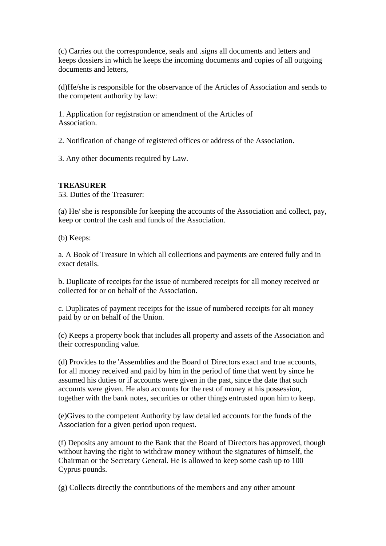(c) Carries out the correspondence, seals and .signs all documents and letters and keeps dossiers in which he keeps the incoming documents and copies of all outgoing documents and letters,

(d)He/she is responsible for the observance of the Articles of Association and sends to the competent authority by law:

1. Application for registration or amendment of the Articles of Association.

2. Notification of change of registered offices or address of the Association.

3. Any other documents required by Law.

# **TREASURER**

53. Duties of the Treasurer:

(a) He/ she is responsible for keeping the accounts of the Association and collect, pay, keep or control the cash and funds of the Association.

(b) Keeps:

a. A Book of Treasure in which all collections and payments are entered fully and in exact details.

b. Duplicate of receipts for the issue of numbered receipts for all money received or collected for or on behalf of the Association.

c. Duplicates of payment receipts for the issue of numbered receipts for alt money paid by or on behalf of the Union.

(c) Keeps a property book that includes all property and assets of the Association and their corresponding value.

(d) Provides to the 'Assemblies and the Board of Directors exact and true accounts, for all money received and paid by him in the period of time that went by since he assumed his duties or if accounts were given in the past, since the date that such accounts were given. He also accounts for the rest of money at his possession, together with the bank notes, securities or other things entrusted upon him to keep.

(e)Gives to the competent Authority by law detailed accounts for the funds of the Association for a given period upon request.

(f) Deposits any amount to the Bank that the Board of Directors has approved, though without having the right to withdraw money without the signatures of himself, the Chairman or the Secretary General. He is allowed to keep some cash up to 100 Cyprus pounds.

(g) Collects directly the contributions of the members and any other amount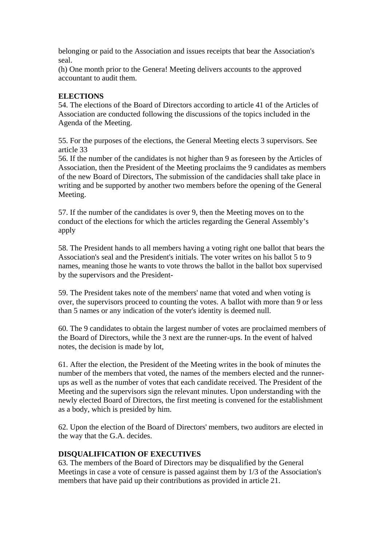belonging or paid to the Association and issues receipts that bear the Association's seal.

(h) One month prior to the Genera! Meeting delivers accounts to the approved accountant to audit them.

# **ELECTIONS**

54. The elections of the Board of Directors according to article 41 of the Articles of Association are conducted following the discussions of the topics included in the Agenda of the Meeting.

55. For the purposes of the elections, the General Meeting elects 3 supervisors. See article 33

56. If the number of the candidates is not higher than 9 as foreseen by the Articles of Association, then the President of the Meeting proclaims the 9 candidates as members of the new Board of Directors, The submission of the candidacies shall take place in writing and be supported by another two members before the opening of the General Meeting.

57. If the number of the candidates is over 9, then the Meeting moves on to the conduct of the elections for which the articles regarding the General Assembly's apply

58. The President hands to all members having a voting right one ballot that bears the Association's seal and the President's initials. The voter writes on his ballot 5 to 9 names, meaning those he wants to vote throws the ballot in the ballot box supervised by the supervisors and the President-

59. The President takes note of the members' name that voted and when voting is over, the supervisors proceed to counting the votes. A ballot with more than 9 or less than 5 names or any indication of the voter's identity is deemed null.

60. The 9 candidates to obtain the largest number of votes are proclaimed members of the Board of Directors, while the 3 next are the runner-ups. In the event of halved notes, the decision is made by lot,

61. After the election, the President of the Meeting writes in the book of minutes the number of the members that voted, the names of the members elected and the runnerups as well as the number of votes that each candidate received. The President of the Meeting and the supervisors sign the relevant minutes. Upon understanding with the newly elected Board of Directors, the first meeting is convened for the establishment as a body, which is presided by him.

62. Upon the election of the Board of Directors' members, two auditors are elected in the way that the G.A. decides.

# **DISQUALIFICATION OF EXECUTIVES**

63. The members of the Board of Directors may be disqualified by the General Meetings in case a vote of censure is passed against them by 1/3 of the Association's members that have paid up their contributions as provided in article 21.